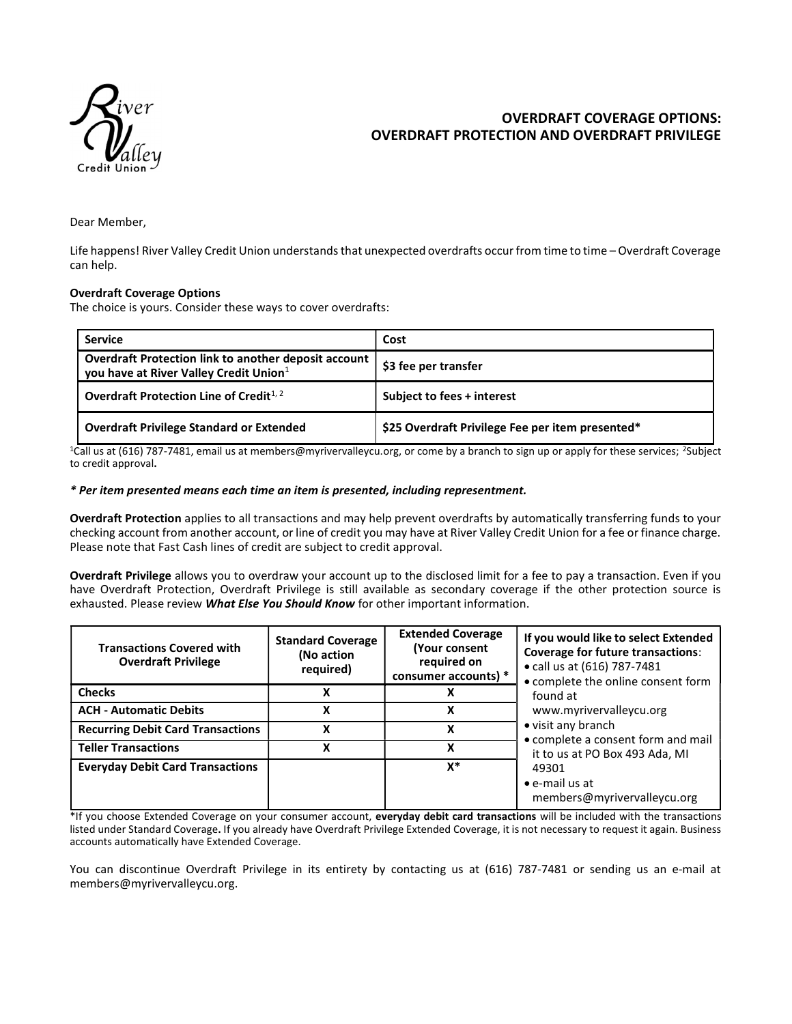

# OVERDRAFT COVERAGE OPTIONS: OVERDRAFT PROTECTION AND OVERDRAFT PRIVILEGE

Dear Member,

Life happens! River Valley Credit Union understands that unexpected overdrafts occur from time to time – Overdraft Coverage can help.

#### Overdraft Coverage Options

The choice is yours. Consider these ways to cover overdrafts:

| <b>Service</b>                                                                                               | Cost                                             |  |
|--------------------------------------------------------------------------------------------------------------|--------------------------------------------------|--|
| Overdraft Protection link to another deposit account  <br>you have at River Valley Credit Union <sup>1</sup> | \$3 fee per transfer                             |  |
| Overdraft Protection Line of Credit $1, 2$                                                                   | Subject to fees + interest                       |  |
| <b>Overdraft Privilege Standard or Extended</b>                                                              | \$25 Overdraft Privilege Fee per item presented* |  |

<sup>1</sup>Call us at (616) 787-7481, email us at members@myrivervalleycu.org, or come by a branch to sign up or apply for these services; <sup>2</sup>Subject to credit approval.

#### \* Per item presented means each time an item is presented, including representment.

Overdraft Protection applies to all transactions and may help prevent overdrafts by automatically transferring funds to your checking account from another account, or line of credit you may have at River Valley Credit Union for a fee or finance charge. Please note that Fast Cash lines of credit are subject to credit approval.

Overdraft Privilege allows you to overdraw your account up to the disclosed limit for a fee to pay a transaction. Even if you have Overdraft Protection, Overdraft Privilege is still available as secondary coverage if the other protection source is exhausted. Please review What Else You Should Know for other important information.

| <b>Transactions Covered with</b><br><b>Overdraft Privilege</b> | <b>Standard Coverage</b><br>(No action<br>required) | <b>Extended Coverage</b><br>(Your consent<br>required on<br>consumer accounts) * | If you would like to select Extended<br><b>Coverage for future transactions:</b><br>• call us at (616) 787-7481<br>• complete the online consent form<br>found at<br>www.myrivervalleycu.org<br>• visit any branch<br>• complete a consent form and mail<br>it to us at PO Box 493 Ada, MI<br>49301<br>$\bullet$ e-mail us at<br>members@myrivervalleycu.org |
|----------------------------------------------------------------|-----------------------------------------------------|----------------------------------------------------------------------------------|--------------------------------------------------------------------------------------------------------------------------------------------------------------------------------------------------------------------------------------------------------------------------------------------------------------------------------------------------------------|
| <b>Checks</b>                                                  |                                                     |                                                                                  |                                                                                                                                                                                                                                                                                                                                                              |
| <b>ACH - Automatic Debits</b>                                  | v                                                   | x                                                                                |                                                                                                                                                                                                                                                                                                                                                              |
| <b>Recurring Debit Card Transactions</b>                       | x                                                   | x                                                                                |                                                                                                                                                                                                                                                                                                                                                              |
| <b>Teller Transactions</b>                                     |                                                     | x                                                                                |                                                                                                                                                                                                                                                                                                                                                              |
| <b>Everyday Debit Card Transactions</b>                        |                                                     | x*                                                                               |                                                                                                                                                                                                                                                                                                                                                              |

\*If you choose Extended Coverage on your consumer account, everyday debit card transactions will be included with the transactions listed under Standard Coverage. If you already have Overdraft Privilege Extended Coverage, it is not necessary to request it again. Business accounts automatically have Extended Coverage.

You can discontinue Overdraft Privilege in its entirety by contacting us at (616) 787-7481 or sending us an e-mail at members@myrivervalleycu.org.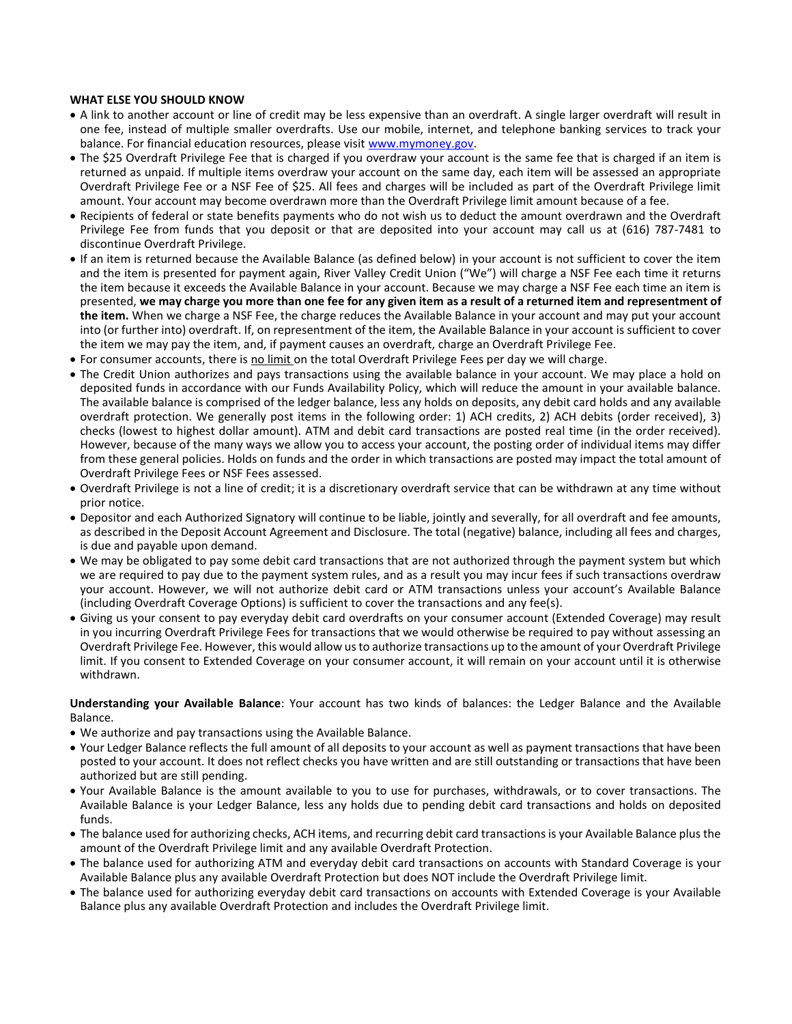## WHAT ELSE YOU SHOULD KNOW

- A link to another account or line of credit may be less expensive than an overdraft. A single larger overdraft will result in one fee, instead of multiple smaller overdrafts. Use our mobile, internet, and telephone banking services to track your balance. For financial education resources, please visit www.mymoney.gov.
- The \$25 Overdraft Privilege Fee that is charged if you overdraw your account is the same fee that is charged if an item is returned as unpaid. If multiple items overdraw your account on the same day, each item will be assessed an appropriate Overdraft Privilege Fee or a NSF Fee of \$25. All fees and charges will be included as part of the Overdraft Privilege limit amount. Your account may become overdrawn more than the Overdraft Privilege limit amount because of a fee.
- Recipients of federal or state benefits payments who do not wish us to deduct the amount overdrawn and the Overdraft Privilege Fee from funds that you deposit or that are deposited into your account may call us at (616) 787-7481 to discontinue Overdraft Privilege.
- If an item is returned because the Available Balance (as defined below) in your account is not sufficient to cover the item and the item is presented for payment again, River Valley Credit Union ("We") will charge a NSF Fee each time it returns the item because it exceeds the Available Balance in your account. Because we may charge a NSF Fee each time an item is presented, we may charge you more than one fee for any given item as a result of a returned item and representment of the item. When we charge a NSF Fee, the charge reduces the Available Balance in your account and may put your account into (or further into) overdraft. If, on representment of the item, the Available Balance in your account is sufficient to cover the item we may pay the item, and, if payment causes an overdraft, charge an Overdraft Privilege Fee.
- For consumer accounts, there is no limit on the total Overdraft Privilege Fees per day we will charge.
- The Credit Union authorizes and pays transactions using the available balance in your account. We may place a hold on deposited funds in accordance with our Funds Availability Policy, which will reduce the amount in your available balance. The available balance is comprised of the ledger balance, less any holds on deposits, any debit card holds and any available overdraft protection. We generally post items in the following order: 1) ACH credits, 2) ACH debits (order received), 3) checks (lowest to highest dollar amount). ATM and debit card transactions are posted real time (in the order received). However, because of the many ways we allow you to access your account, the posting order of individual items may differ from these general policies. Holds on funds and the order in which transactions are posted may impact the total amount of Overdraft Privilege Fees or NSF Fees assessed.
- Overdraft Privilege is not a line of credit; it is a discretionary overdraft service that can be withdrawn at any time without prior notice.
- Depositor and each Authorized Signatory will continue to be liable, jointly and severally, for all overdraft and fee amounts, as described in the Deposit Account Agreement and Disclosure. The total (negative) balance, including all fees and charges, is due and payable upon demand.
- We may be obligated to pay some debit card transactions that are not authorized through the payment system but which we are required to pay due to the payment system rules, and as a result you may incur fees if such transactions overdraw your account. However, we will not authorize debit card or ATM transactions unless your account's Available Balance (including Overdraft Coverage Options) is sufficient to cover the transactions and any fee(s).
- Giving us your consent to pay everyday debit card overdrafts on your consumer account (Extended Coverage) may result in you incurring Overdraft Privilege Fees for transactions that we would otherwise be required to pay without assessing an Overdraft Privilege Fee. However, this would allow us to authorize transactions up to the amount of your Overdraft Privilege limit. If you consent to Extended Coverage on your consumer account, it will remain on your account until it is otherwise withdrawn.

Understanding your Available Balance: Your account has two kinds of balances: the Ledger Balance and the Available Balance.

- We authorize and pay transactions using the Available Balance.
- Your Ledger Balance reflects the full amount of all deposits to your account as well as payment transactions that have been posted to your account. It does not reflect checks you have written and are still outstanding or transactions that have been authorized but are still pending.
- Your Available Balance is the amount available to you to use for purchases, withdrawals, or to cover transactions. The Available Balance is your Ledger Balance, less any holds due to pending debit card transactions and holds on deposited funds.
- The balance used for authorizing checks, ACH items, and recurring debit card transactions is your Available Balance plus the amount of the Overdraft Privilege limit and any available Overdraft Protection.
- The balance used for authorizing ATM and everyday debit card transactions on accounts with Standard Coverage is your Available Balance plus any available Overdraft Protection but does NOT include the Overdraft Privilege limit.
- The balance used for authorizing everyday debit card transactions on accounts with Extended Coverage is your Available Balance plus any available Overdraft Protection and includes the Overdraft Privilege limit.